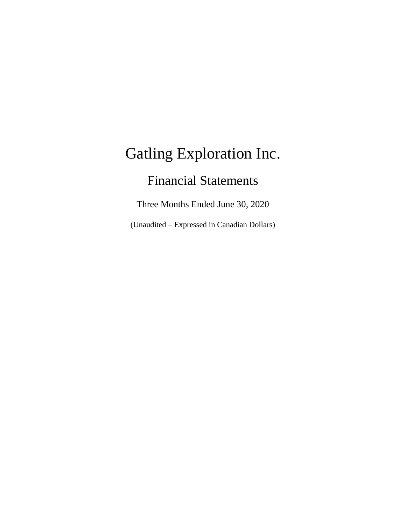# Financial Statements

Three Months Ended June 30, 2020

(Unaudited – Expressed in Canadian Dollars)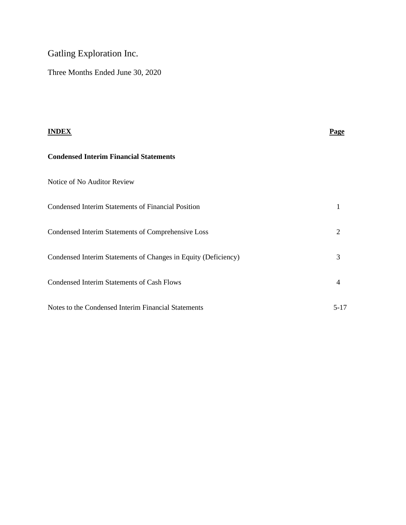Three Months Ended June 30, 2020

| <b>INDEX</b>                                                   | <b>Page</b> |
|----------------------------------------------------------------|-------------|
| <b>Condensed Interim Financial Statements</b>                  |             |
| Notice of No Auditor Review                                    |             |
| <b>Condensed Interim Statements of Financial Position</b>      | 1           |
| Condensed Interim Statements of Comprehensive Loss             | 2           |
| Condensed Interim Statements of Changes in Equity (Deficiency) | 3           |
| Condensed Interim Statements of Cash Flows                     | 4           |
| Notes to the Condensed Interim Financial Statements            | $5 - 17$    |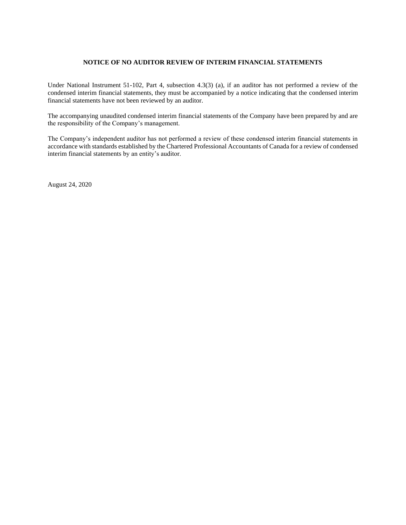#### **NOTICE OF NO AUDITOR REVIEW OF INTERIM FINANCIAL STATEMENTS**

Under National Instrument 51-102, Part 4, subsection 4.3(3) (a), if an auditor has not performed a review of the condensed interim financial statements, they must be accompanied by a notice indicating that the condensed interim financial statements have not been reviewed by an auditor.

The accompanying unaudited condensed interim financial statements of the Company have been prepared by and are the responsibility of the Company's management.

The Company's independent auditor has not performed a review of these condensed interim financial statements in accordance with standards established by the Chartered Professional Accountants of Canada for a review of condensed interim financial statements by an entity's auditor.

August 24, 2020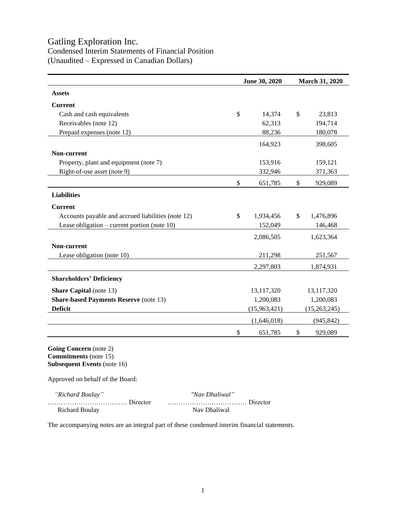### Condensed Interim Statements of Financial Position (Unaudited – Expressed in Canadian Dollars)

|                                                    | June 30, 2020 |              | March 31, 2020  |
|----------------------------------------------------|---------------|--------------|-----------------|
| <b>Assets</b>                                      |               |              |                 |
| <b>Current</b>                                     |               |              |                 |
| Cash and cash equivalents                          | $\mathbb{S}$  | 14,374       | \$<br>23,813    |
| Receivables (note 12)                              |               | 62,313       | 194,714         |
| Prepaid expenses (note 12)                         |               | 88,236       | 180,078         |
|                                                    |               | 164,923      | 398,605         |
| Non-current                                        |               |              |                 |
| Property, plant and equipment (note 7)             |               | 153,916      | 159,121         |
| Right-of-use asset (note 9)                        |               | 332,946      | 371,363         |
|                                                    | \$            | 651,785      | \$<br>929,089   |
| <b>Liabilities</b>                                 |               |              |                 |
| <b>Current</b>                                     |               |              |                 |
| Accounts payable and accrued liabilities (note 12) | \$            | 1,934,456    | \$<br>1,476,896 |
| Lease obligation – current portion (note $10$ )    |               | 152,049      | 146,468         |
|                                                    |               | 2,086,505    | 1,623,364       |
| Non-current                                        |               |              |                 |
| Lease obligation (note 10)                         |               | 211,298      | 251,567         |
|                                                    |               | 2,297,803    | 1,874,931       |
| <b>Shareholders' Deficiency</b>                    |               |              |                 |
| <b>Share Capital</b> (note 13)                     |               | 13,117,320   | 13,117,320      |
| <b>Share-based Payments Reserve (note 13)</b>      |               | 1,200,083    | 1,200,083       |
| <b>Deficit</b>                                     |               | (15,963,421) | (15,263,245)    |
|                                                    |               | (1,646,018)  | (945, 842)      |
|                                                    | \$            | 651,785      | \$<br>929,089   |
|                                                    |               |              |                 |

**Going Concern** (note 2) **Commitments** (note 15) **Subsequent Events** (note 16)

Approved on behalf of the Board:

| "Richard Boulay" | "Nav Dhaliwal" |
|------------------|----------------|
|                  |                |
| Richard Boulay   | Nav Dhaliwal   |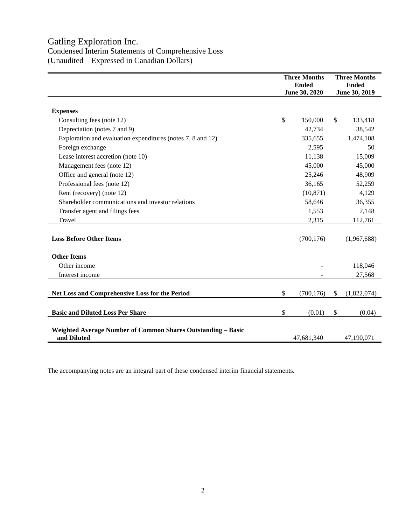### Condensed Interim Statements of Comprehensive Loss (Unaudited – Expressed in Canadian Dollars)

|                                                                             | <b>Three Months</b><br><b>Ended</b><br>June 30, 2020 | <b>Three Months</b><br><b>Ended</b><br>June 30, 2019 |             |  |
|-----------------------------------------------------------------------------|------------------------------------------------------|------------------------------------------------------|-------------|--|
| <b>Expenses</b>                                                             |                                                      |                                                      |             |  |
| Consulting fees (note 12)                                                   | \$<br>150,000                                        | \$                                                   | 133,418     |  |
| Depreciation (notes 7 and 9)                                                | 42,734                                               |                                                      | 38,542      |  |
| Exploration and evaluation expenditures (notes 7, 8 and 12)                 | 335,655                                              |                                                      | 1,474,108   |  |
| Foreign exchange                                                            | 2,595                                                |                                                      | 50          |  |
| Lease interest accretion (note 10)                                          | 11,138                                               |                                                      | 15,009      |  |
| Management fees (note 12)                                                   | 45,000                                               |                                                      | 45,000      |  |
| Office and general (note 12)                                                | 25,246                                               |                                                      | 48,909      |  |
| Professional fees (note 12)                                                 | 36,165                                               |                                                      | 52,259      |  |
| Rent (recovery) (note 12)                                                   | (10, 871)                                            |                                                      | 4,129       |  |
| Shareholder communications and investor relations                           | 58,646                                               |                                                      | 36,355      |  |
| Transfer agent and filings fees                                             | 1,553                                                |                                                      | 7,148       |  |
| Travel                                                                      | 2,315                                                |                                                      | 112,761     |  |
| <b>Loss Before Other Items</b>                                              | (700, 176)                                           |                                                      | (1,967,688) |  |
| <b>Other Items</b>                                                          |                                                      |                                                      |             |  |
| Other income                                                                |                                                      |                                                      | 118,046     |  |
| Interest income                                                             |                                                      |                                                      | 27,568      |  |
| Net Loss and Comprehensive Loss for the Period                              | \$<br>(700, 176)                                     | \$                                                   | (1,822,074) |  |
| <b>Basic and Diluted Loss Per Share</b>                                     | \$<br>(0.01)                                         | \$                                                   | (0.04)      |  |
| Weighted Average Number of Common Shares Outstanding - Basic<br>and Diluted | 47,681,340                                           |                                                      | 47,190,071  |  |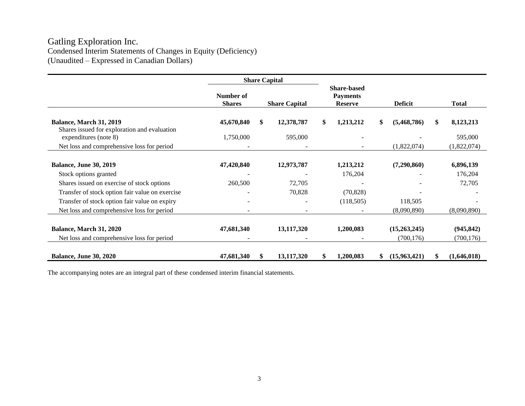### Gatling Exploration Inc. Condensed Interim Statements of Changes in Equity (Deficiency) (Unaudited – Expressed in Canadian Dollars)

|                                                                                |                            | <b>Share Capital</b> |    |                                                         |                    |                 |
|--------------------------------------------------------------------------------|----------------------------|----------------------|----|---------------------------------------------------------|--------------------|-----------------|
|                                                                                | Number of<br><b>Shares</b> | <b>Share Capital</b> |    | <b>Share-based</b><br><b>Payments</b><br><b>Reserve</b> | <b>Deficit</b>     | <b>Total</b>    |
| <b>Balance, March 31, 2019</b><br>Shares issued for exploration and evaluation | 45,670,840                 | \$<br>12,378,787     | S. | 1,213,212                                               | \$<br>(5,468,786)  | \$<br>8,123,213 |
| expenditures (note 8)                                                          | 1,750,000                  | 595,000              |    |                                                         |                    | 595,000         |
| Net loss and comprehensive loss for period                                     |                            |                      |    |                                                         | (1,822,074)        | (1,822,074)     |
|                                                                                |                            |                      |    |                                                         |                    |                 |
| <b>Balance, June 30, 2019</b>                                                  | 47,420,840                 | 12,973,787           |    | 1,213,212                                               | (7,290,860)        | 6,896,139       |
| Stock options granted                                                          |                            |                      |    | 176,204                                                 |                    | 176,204         |
| Shares issued on exercise of stock options                                     | 260,500                    | 72,705               |    |                                                         |                    | 72,705          |
| Transfer of stock option fair value on exercise                                |                            | 70,828               |    | (70, 828)                                               |                    |                 |
| Transfer of stock option fair value on expiry                                  |                            |                      |    | (118,505)                                               | 118,505            |                 |
| Net loss and comprehensive loss for period                                     |                            |                      |    |                                                         | (8,090,890)        | (8,090,890)     |
|                                                                                |                            |                      |    |                                                         |                    |                 |
| <b>Balance, March 31, 2020</b>                                                 | 47,681,340                 | 13,117,320           |    | 1,200,083                                               | (15,263,245)       | (945, 842)      |
| Net loss and comprehensive loss for period                                     |                            |                      |    |                                                         | (700, 176)         | (700, 176)      |
| <b>Balance, June 30, 2020</b>                                                  | 47,681,340                 | \$<br>13,117,320     |    | 1,200,083                                               | \$<br>(15,963,421) | (1,646,018)     |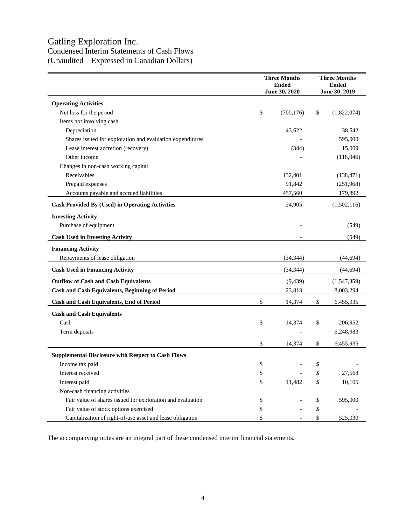# Condensed Interim Statements of Cash Flows

(Unaudited – Expressed in Canadian Dollars)

|                                                            | <b>Three Months</b><br><b>Ended</b> |    | <b>Three Months</b><br><b>Ended</b> |  |  |
|------------------------------------------------------------|-------------------------------------|----|-------------------------------------|--|--|
|                                                            | June 30, 2020                       |    | June 30, 2019                       |  |  |
| <b>Operating Activities</b>                                |                                     |    |                                     |  |  |
| Net loss for the period                                    | \$<br>(700, 176)                    | \$ | (1,822,074)                         |  |  |
| Items not involving cash                                   |                                     |    |                                     |  |  |
| Depreciation                                               | 43,622                              |    | 38,542                              |  |  |
| Shares issued for exploration and evaluation expenditures  |                                     |    | 595,000                             |  |  |
| Lease interest accretion (recovery)                        | (344)                               |    | 15,009                              |  |  |
| Other income                                               |                                     |    | (118,046)                           |  |  |
| Changes in non-cash working capital                        |                                     |    |                                     |  |  |
| Receivables                                                | 132,401                             |    | (138, 471)                          |  |  |
| Prepaid expenses                                           | 91,842                              |    | (251,968)                           |  |  |
| Accounts payable and accrued liabilities                   | 457,560                             |    | 179,892                             |  |  |
| <b>Cash Provided By (Used) in Operating Activities</b>     | 24,905                              |    | (1,502,116)                         |  |  |
| <b>Investing Activity</b>                                  |                                     |    |                                     |  |  |
| Purchase of equipment                                      |                                     |    | (549)                               |  |  |
| <b>Cash Used in Investing Activity</b>                     |                                     |    | (549)                               |  |  |
| <b>Financing Activity</b>                                  |                                     |    |                                     |  |  |
| Repayments of lease obligation                             | (34, 344)                           |    | (44, 694)                           |  |  |
| <b>Cash Used in Financing Activity</b>                     | (34, 344)                           |    | (44, 694)                           |  |  |
| <b>Outflow of Cash and Cash Equivalents</b>                | (9, 439)                            |    | (1,547,359)                         |  |  |
| <b>Cash and Cash Equivalents, Beginning of Period</b>      | 23,813                              |    | 8,003,294                           |  |  |
| <b>Cash and Cash Equivalents, End of Period</b>            | \$<br>14,374                        | \$ | 6,455,935                           |  |  |
| <b>Cash and Cash Equivalents</b>                           |                                     |    |                                     |  |  |
| Cash                                                       | \$<br>14,374                        | \$ | 206,952                             |  |  |
| Term deposits                                              |                                     |    | 6,248,983                           |  |  |
|                                                            | \$<br>14,374                        | \$ | 6,455,935                           |  |  |
| <b>Supplemental Disclosure with Respect to Cash Flows</b>  |                                     |    |                                     |  |  |
| Income tax paid                                            | \$                                  | \$ |                                     |  |  |
| Interest received                                          | \$<br>$\overline{a}$                | \$ | 27,568                              |  |  |
| Interest paid                                              | \$<br>11,482                        | \$ | 10,105                              |  |  |
| Non-cash financing activities                              |                                     |    |                                     |  |  |
| Fair value of shares issued for exploration and evaluation | \$                                  | \$ | 595,000                             |  |  |
| Fair value of stock options exercised                      | \$                                  | \$ |                                     |  |  |
| Capitalization of right-of-use asset and lease obligation  | \$                                  | \$ | 525,030                             |  |  |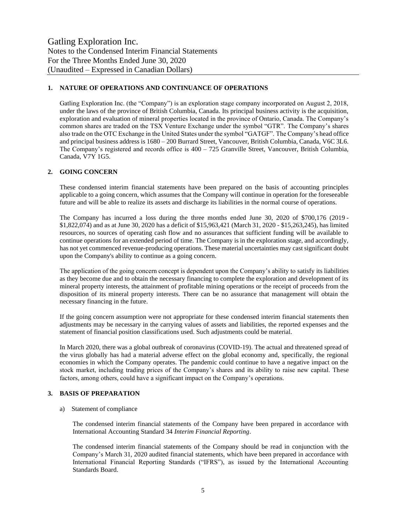#### **1. NATURE OF OPERATIONS AND CONTINUANCE OF OPERATIONS**

Gatling Exploration Inc. (the "Company") is an exploration stage company incorporated on August 2, 2018, under the laws of the province of British Columbia, Canada. Its principal business activity is the acquisition, exploration and evaluation of mineral properties located in the province of Ontario, Canada. The Company's common shares are traded on the TSX Venture Exchange under the symbol "GTR". The Company's shares also trade on the OTC Exchange in the United States under the symbol "GATGF". The Company's head office and principal business address is 1680 – 200 Burrard Street, Vancouver, British Columbia, Canada, V6C 3L6. The Company's registered and records office is 400 – 725 Granville Street, Vancouver, British Columbia, Canada, V7Y 1G5.

#### **2. GOING CONCERN**

These condensed interim financial statements have been prepared on the basis of accounting principles applicable to a going concern, which assumes that the Company will continue in operation for the foreseeable future and will be able to realize its assets and discharge its liabilities in the normal course of operations.

The Company has incurred a loss during the three months ended June 30, 2020 of \$700,176 (2019 - \$1,822,074) and as at June 30, 2020 has a deficit of \$15,963,421 (March 31, 2020 - \$15,263,245), has limited resources, no sources of operating cash flow and no assurances that sufficient funding will be available to continue operations for an extended period of time. The Company is in the exploration stage, and accordingly, has not yet commenced revenue-producing operations. These material uncertainties may cast significant doubt upon the Company's ability to continue as a going concern.

The application of the going concern concept is dependent upon the Company's ability to satisfy its liabilities as they become due and to obtain the necessary financing to complete the exploration and development of its mineral property interests, the attainment of profitable mining operations or the receipt of proceeds from the disposition of its mineral property interests. There can be no assurance that management will obtain the necessary financing in the future.

If the going concern assumption were not appropriate for these condensed interim financial statements then adjustments may be necessary in the carrying values of assets and liabilities, the reported expenses and the statement of financial position classifications used. Such adjustments could be material.

In March 2020, there was a global outbreak of coronavirus (COVID-19). The actual and threatened spread of the virus globally has had a material adverse effect on the global economy and, specifically, the regional economies in which the Company operates. The pandemic could continue to have a negative impact on the stock market, including trading prices of the Company's shares and its ability to raise new capital. These factors, among others, could have a significant impact on the Company's operations.

#### **3. BASIS OF PREPARATION**

a) Statement of compliance

The condensed interim financial statements of the Company have been prepared in accordance with International Accounting Standard 34 *Interim Financial Reporting*.

The condensed interim financial statements of the Company should be read in conjunction with the Company's March 31, 2020 audited financial statements, which have been prepared in accordance with International Financial Reporting Standards ("IFRS"), as issued by the International Accounting Standards Board.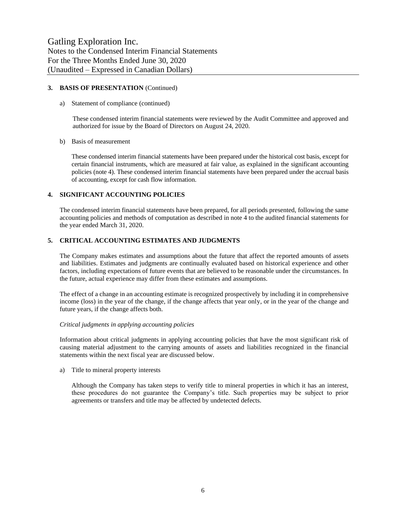#### **3. BASIS OF PRESENTATION** (Continued)

#### a) Statement of compliance (continued)

These condensed interim financial statements were reviewed by the Audit Committee and approved and authorized for issue by the Board of Directors on August 24, 2020.

#### b) Basis of measurement

These condensed interim financial statements have been prepared under the historical cost basis, except for certain financial instruments, which are measured at fair value, as explained in the significant accounting policies (note 4). These condensed interim financial statements have been prepared under the accrual basis of accounting, except for cash flow information.

#### **4. SIGNIFICANT ACCOUNTING POLICIES**

The condensed interim financial statements have been prepared, for all periods presented, following the same accounting policies and methods of computation as described in note 4 to the audited financial statements for the year ended March 31, 2020.

#### **5. CRITICAL ACCOUNTING ESTIMATES AND JUDGMENTS**

The Company makes estimates and assumptions about the future that affect the reported amounts of assets and liabilities. Estimates and judgments are continually evaluated based on historical experience and other factors, including expectations of future events that are believed to be reasonable under the circumstances. In the future, actual experience may differ from these estimates and assumptions.

The effect of a change in an accounting estimate is recognized prospectively by including it in comprehensive income (loss) in the year of the change, if the change affects that year only, or in the year of the change and future years, if the change affects both.

#### *Critical judgments in applying accounting policies*

Information about critical judgments in applying accounting policies that have the most significant risk of causing material adjustment to the carrying amounts of assets and liabilities recognized in the financial statements within the next fiscal year are discussed below.

a) Title to mineral property interests

Although the Company has taken steps to verify title to mineral properties in which it has an interest, these procedures do not guarantee the Company's title. Such properties may be subject to prior agreements or transfers and title may be affected by undetected defects.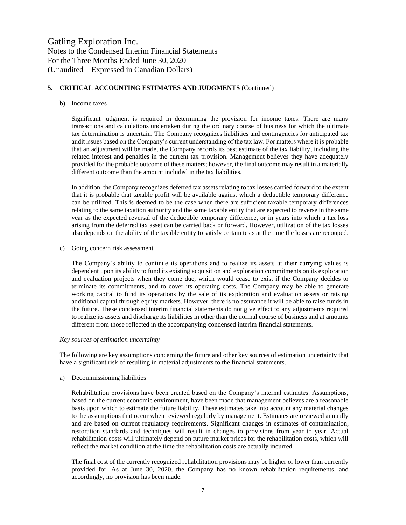#### **5. CRITICAL ACCOUNTING ESTIMATES AND JUDGMENTS** (Continued)

#### b) Income taxes

Significant judgment is required in determining the provision for income taxes. There are many transactions and calculations undertaken during the ordinary course of business for which the ultimate tax determination is uncertain. The Company recognizes liabilities and contingencies for anticipated tax audit issues based on the Company's current understanding of the tax law. For matters where it is probable that an adjustment will be made, the Company records its best estimate of the tax liability, including the related interest and penalties in the current tax provision. Management believes they have adequately provided for the probable outcome of these matters; however, the final outcome may result in a materially different outcome than the amount included in the tax liabilities.

In addition, the Company recognizes deferred tax assets relating to tax losses carried forward to the extent that it is probable that taxable profit will be available against which a deductible temporary difference can be utilized. This is deemed to be the case when there are sufficient taxable temporary differences relating to the same taxation authority and the same taxable entity that are expected to reverse in the same year as the expected reversal of the deductible temporary difference, or in years into which a tax loss arising from the deferred tax asset can be carried back or forward. However, utilization of the tax losses also depends on the ability of the taxable entity to satisfy certain tests at the time the losses are recouped.

c) Going concern risk assessment

The Company's ability to continue its operations and to realize its assets at their carrying values is dependent upon its ability to fund its existing acquisition and exploration commitments on its exploration and evaluation projects when they come due, which would cease to exist if the Company decides to terminate its commitments, and to cover its operating costs. The Company may be able to generate working capital to fund its operations by the sale of its exploration and evaluation assets or raising additional capital through equity markets. However, there is no assurance it will be able to raise funds in the future. These condensed interim financial statements do not give effect to any adjustments required to realize its assets and discharge its liabilities in other than the normal course of business and at amounts different from those reflected in the accompanying condensed interim financial statements.

#### *Key sources of estimation uncertainty*

The following are key assumptions concerning the future and other key sources of estimation uncertainty that have a significant risk of resulting in material adjustments to the financial statements.

#### a) Decommissioning liabilities

Rehabilitation provisions have been created based on the Company's internal estimates. Assumptions, based on the current economic environment, have been made that management believes are a reasonable basis upon which to estimate the future liability. These estimates take into account any material changes to the assumptions that occur when reviewed regularly by management. Estimates are reviewed annually and are based on current regulatory requirements. Significant changes in estimates of contamination, restoration standards and techniques will result in changes to provisions from year to year. Actual rehabilitation costs will ultimately depend on future market prices for the rehabilitation costs, which will reflect the market condition at the time the rehabilitation costs are actually incurred.

The final cost of the currently recognized rehabilitation provisions may be higher or lower than currently provided for. As at June 30, 2020, the Company has no known rehabilitation requirements, and accordingly, no provision has been made.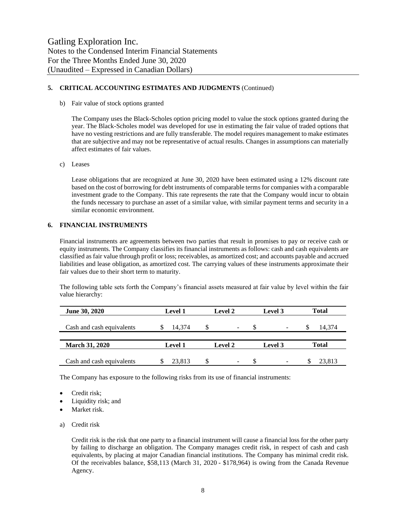#### **5. CRITICAL ACCOUNTING ESTIMATES AND JUDGMENTS** (Continued)

b) Fair value of stock options granted

The Company uses the Black-Scholes option pricing model to value the stock options granted during the year. The Black-Scholes model was developed for use in estimating the fair value of traded options that have no vesting restrictions and are fully transferable. The model requires management to make estimates that are subjective and may not be representative of actual results. Changes in assumptions can materially affect estimates of fair values.

c) Leases

Lease obligations that are recognized at June 30, 2020 have been estimated using a 12% discount rate based on the cost of borrowing for debt instruments of comparable termsfor companies with a comparable investment grade to the Company. This rate represents the rate that the Company would incur to obtain the funds necessary to purchase an asset of a similar value, with similar payment terms and security in a similar economic environment.

#### **6. FINANCIAL INSTRUMENTS**

Financial instruments are agreements between two parties that result in promises to pay or receive cash or equity instruments. The Company classifies its financial instruments as follows: cash and cash equivalents are classified as fair value through profit or loss; receivables, as amortized cost; and accounts payable and accrued liabilities and lease obligation, as amortized cost. The carrying values of these instruments approximate their fair values due to their short term to maturity.

The following table sets forth the Company's financial assets measured at fair value by level within the fair value hierarchy:

| <b>June 30, 2020</b>      | <b>Level 1</b> | Level 2                        | Level 3                  | <b>Total</b> |
|---------------------------|----------------|--------------------------------|--------------------------|--------------|
| Cash and cash equivalents | 14.374<br>S    | S<br>$\overline{\phantom{a}}$  | $\overline{\phantom{0}}$ | 14.374       |
|                           |                |                                |                          |              |
| <b>March 31, 2020</b>     | <b>Level 1</b> | Level 2                        | Total<br>Level 3         |              |
| Cash and cash equivalents | 23.813         | \$<br>$\overline{\phantom{a}}$ | $\overline{\phantom{0}}$ | 23.813       |

The Company has exposure to the following risks from its use of financial instruments:

- Credit risk;
- Liquidity risk; and
- Market risk.
- a) Credit risk

Credit risk is the risk that one party to a financial instrument will cause a financial loss for the other party by failing to discharge an obligation. The Company manages credit risk, in respect of cash and cash equivalents, by placing at major Canadian financial institutions. The Company has minimal credit risk. Of the receivables balance, \$58,113 (March 31, 2020 - \$178,964) is owing from the Canada Revenue Agency.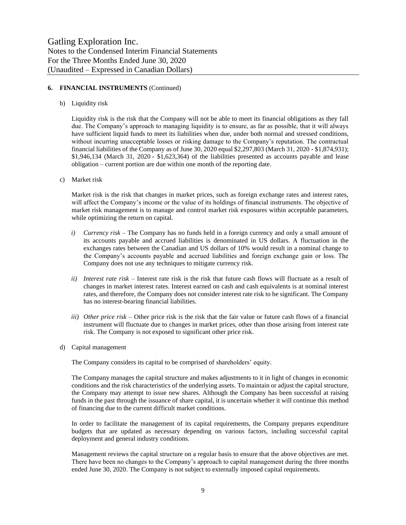#### **6. FINANCIAL INSTRUMENTS** (Continued)

b) Liquidity risk

Liquidity risk is the risk that the Company will not be able to meet its financial obligations as they fall due. The Company's approach to managing liquidity is to ensure, as far as possible, that it will always have sufficient liquid funds to meet its liabilities when due, under both normal and stressed conditions, without incurring unacceptable losses or risking damage to the Company's reputation. The contractual financial liabilities of the Company as of June 30, 2020 equal \$2,297,803 (March 31, 2020 - \$1,874,931); \$1,946,134 (March 31, 2020 - \$1,623,364) of the liabilities presented as accounts payable and lease obligation – current portion are due within one month of the reporting date.

c) Market risk

Market risk is the risk that changes in market prices, such as foreign exchange rates and interest rates, will affect the Company's income or the value of its holdings of financial instruments. The objective of market risk management is to manage and control market risk exposures within acceptable parameters, while optimizing the return on capital.

- *i) Currency risk –* The Company has no funds held in a foreign currency and only a small amount of its accounts payable and accrued liabilities is denominated in US dollars. A fluctuation in the exchanges rates between the Canadian and US dollars of 10% would result in a nominal change to the Company's accounts payable and accrued liabilities and foreign exchange gain or loss. The Company does not use any techniques to mitigate currency risk.
- *ii) Interest rate risk –* Interest rate risk is the risk that future cash flows will fluctuate as a result of changes in market interest rates. Interest earned on cash and cash equivalents is at nominal interest rates, and therefore, the Company does not consider interest rate risk to be significant. The Company has no interest-bearing financial liabilities.
- *iii) Other price risk –* Other price risk is the risk that the fair value or future cash flows of a financial instrument will fluctuate due to changes in market prices, other than those arising from interest rate risk. The Company is not exposed to significant other price risk.
- d) Capital management

The Company considers its capital to be comprised of shareholders' equity.

The Company manages the capital structure and makes adjustments to it in light of changes in economic conditions and the risk characteristics of the underlying assets. To maintain or adjust the capital structure, the Company may attempt to issue new shares. Although the Company has been successful at raising funds in the past through the issuance of share capital, it is uncertain whether it will continue this method of financing due to the current difficult market conditions.

In order to facilitate the management of its capital requirements, the Company prepares expenditure budgets that are updated as necessary depending on various factors, including successful capital deployment and general industry conditions.

Management reviews the capital structure on a regular basis to ensure that the above objectives are met. There have been no changes to the Company's approach to capital management during the three months ended June 30, 2020. The Company is not subject to externally imposed capital requirements.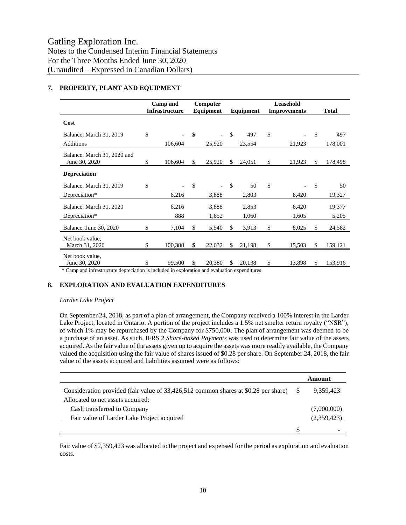|                                              | Camp and<br><b>Infrastructure</b> |     | Computer<br>Equipment |               | Equipment | Leasehold<br><b>Improvements</b> |               | <b>Total</b> |
|----------------------------------------------|-----------------------------------|-----|-----------------------|---------------|-----------|----------------------------------|---------------|--------------|
| Cost                                         |                                   |     |                       |               |           |                                  |               |              |
| Balance, March 31, 2019                      | \$                                | \$  |                       | \$            | 497       | \$                               | \$            | 497          |
| Additions                                    | 106,604                           |     | 25,920                |               | 23,554    | 21,923                           |               | 178,001      |
| Balance, March 31, 2020 and<br>June 30, 2020 | \$<br>106,604                     | \$  | 25,920                | \$            | 24,051    | \$<br>21,923                     | \$            | 178,498      |
| <b>Depreciation</b>                          |                                   |     |                       |               |           |                                  |               |              |
| Balance, March 31, 2019                      | \$                                | \$  |                       | $\mathcal{S}$ | 50        | \$                               | $\mathsf{\$}$ | 50           |
| Depreciation*                                | 6,216                             |     | 3,888                 |               | 2,803     | 6,420                            |               | 19,327       |
| Balance, March 31, 2020                      | 6,216                             |     | 3,888                 |               | 2,853     | 6,420                            |               | 19,377       |
| Depreciation*                                | 888                               |     | 1,652                 |               | 1,060     | 1,605                            |               | 5,205        |
| Balance, June 30, 2020                       | \$<br>7,104                       | \$  | 5,540                 | \$            | 3,913     | \$<br>8,025                      | \$            | 24,582       |
| Net book value,<br>March 31, 2020            | \$<br>100,388                     | \$  | 22,032                | \$            | 21,198    | \$<br>15,503                     | \$            | 159,121      |
| Net book value.<br>June 30, 2020             | \$<br>99,500                      | \$. | 20,380                | <sup>\$</sup> | 20,138    | \$<br>13,898                     | \$.           | 153,916      |

#### **7. PROPERTY, PLANT AND EQUIPMENT**

Camp and infrastructure depreciation is included in exploration and evaluation expenditures

#### **8. EXPLORATION AND EVALUATION EXPENDITURES**

#### *Larder Lake Project*

On September 24, 2018, as part of a plan of arrangement, the Company received a 100% interest in the Larder Lake Project, located in Ontario. A portion of the project includes a 1.5% net smelter return royalty ("NSR"), of which 1% may be repurchased by the Company for \$750,000. The plan of arrangement was deemed to be a purchase of an asset. As such, IFRS 2 *Share-based Payments* was used to determine fair value of the assets acquired. As the fair value of the assets given up to acquire the assets was more readily available, the Company valued the acquisition using the fair value of shares issued of \$0.28 per share. On September 24, 2018, the fair value of the assets acquired and liabilities assumed were as follows:

|                                                                                     | Amount      |
|-------------------------------------------------------------------------------------|-------------|
| Consideration provided (fair value of 33,426,512 common shares at \$0.28 per share) | 9.359.423   |
| Allocated to net assets acquired:                                                   |             |
| Cash transferred to Company                                                         | (7,000,000) |
| Fair value of Larder Lake Project acquired                                          | (2,359,423) |
|                                                                                     |             |

Fair value of \$2,359,423 was allocated to the project and expensed for the period as exploration and evaluation costs.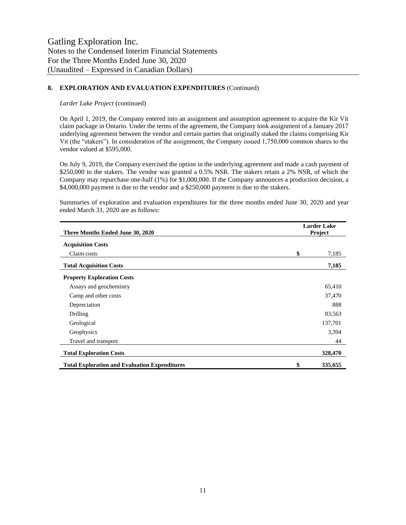#### **8. EXPLORATION AND EVALUATION EXPENDITURES** (Continued)

#### *Larder Lake Project* (continued)

On April 1, 2019, the Company entered into an assignment and assumption agreement to acquire the Kir Vit claim package in Ontario. Under the terms of the agreement, the Company took assignment of a January 2017 underlying agreement between the vendor and certain parties that originally staked the claims comprising Kir Vit (the "stakers"). In consideration of the assignment, the Company issued 1,750,000 common shares to the vendor valued at \$595,000.

On July 9, 2019, the Company exercised the option in the underlying agreement and made a cash payment of \$250,000 to the stakers. The vendor was granted a 0.5% NSR. The stakers retain a 2% NSR, of which the Company may repurchase one-half (1%) for \$1,000,000. If the Company announces a production decision, a \$4,000,000 payment is due to the vendor and a \$250,000 payment is due to the stakers.

| Three Months Ended June 30, 2020                     | <b>Larder Lake</b><br>Project |
|------------------------------------------------------|-------------------------------|
| <b>Acquisition Costs</b>                             |                               |
| Claim costs                                          | \$<br>7,185                   |
| <b>Total Acquisition Costs</b>                       | 7,185                         |
| <b>Property Exploration Costs</b>                    |                               |
| Assays and geochemistry                              | 65,410                        |
| Camp and other costs                                 | 37,470                        |
| Depreciation                                         | 888                           |
| Drilling                                             | 83,563                        |
| Geological                                           | 137,701                       |
| Geophysics                                           | 3,394                         |
| Travel and transport                                 | 44                            |
| <b>Total Exploration Costs</b>                       | 328,470                       |
| <b>Total Exploration and Evaluation Expenditures</b> | \$<br>335,655                 |

Summaries of exploration and evaluation expenditures for the three months ended June 30, 2020 and year ended March 31, 2020 are as follows: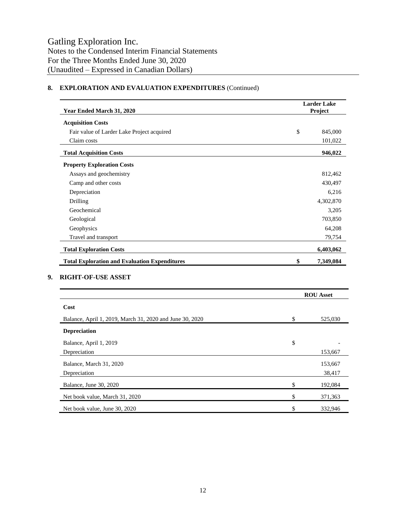### **8. EXPLORATION AND EVALUATION EXPENDITURES** (Continued)

| Year Ended March 31, 2020                                | <b>Larder Lake</b><br>Project |
|----------------------------------------------------------|-------------------------------|
| <b>Acquisition Costs</b>                                 |                               |
| Fair value of Larder Lake Project acquired               | \$<br>845,000                 |
| Claim costs                                              | 101,022                       |
| <b>Total Acquisition Costs</b>                           | 946,022                       |
| <b>Property Exploration Costs</b>                        |                               |
| Assays and geochemistry                                  | 812,462                       |
| Camp and other costs                                     | 430,497                       |
| Depreciation                                             | 6,216                         |
| Drilling                                                 | 4,302,870                     |
| Geochemical                                              | 3,205                         |
| Geological                                               | 703,850                       |
| Geophysics                                               | 64,208                        |
| Travel and transport                                     | 79,754                        |
| <b>Total Exploration Costs</b>                           | 6,403,062                     |
| <b>Total Exploration and Evaluation Expenditures</b>     | \$<br>7,349,084               |
| <b>RIGHT-OF-USE ASSET</b>                                | <b>ROU Asset</b>              |
| Cost                                                     |                               |
| Balance, April 1, 2019, March 31, 2020 and June 30, 2020 | \$<br>525,030                 |
| <b>Depreciation</b>                                      |                               |
| Balance, April 1, 2019                                   | \$                            |
| Depreciation                                             | 153,667                       |

| $D$ and $C_2$ , $D_1$ , $D_2$ , $D_3$ , $D_4$ , $D_5$ , $D_6$ , $D_7$ | $\mathbf{L}$ |         |
|-----------------------------------------------------------------------|--------------|---------|
| Depreciation                                                          |              | 153,667 |
| Balance, March 31, 2020                                               |              | 153,667 |
| Depreciation                                                          |              | 38,417  |
| Balance, June 30, 2020                                                | \$           | 192,084 |
| Net book value, March 31, 2020                                        | £.           | 371,363 |
| Net book value, June 30, 2020                                         | \$           | 332,946 |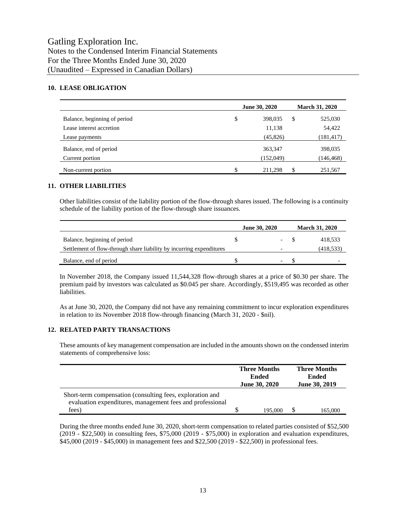#### **10. LEASE OBLIGATION**

|                              | June 30, 2020 | <b>March 31, 2020</b> |
|------------------------------|---------------|-----------------------|
| Balance, beginning of period | \$<br>398,035 | \$<br>525,030         |
| Lease interest accretion     | 11,138        | 54,422                |
| Lease payments               | (45, 826)     | (181, 417)            |
| Balance, end of period       | 363,347       | 398,035               |
| Current portion              | (152,049)     | (146, 468)            |
| Non-current portion          | \$<br>211,298 | 251,567               |

#### **11. OTHER LIABILITIES**

Other liabilities consist of the liability portion of the flow-through shares issued. The following is a continuity schedule of the liability portion of the flow-through share issuances.

|                                                                      | <b>June 30, 2020</b> |  | <b>March 31, 2020</b> |  |
|----------------------------------------------------------------------|----------------------|--|-----------------------|--|
| Balance, beginning of period                                         |                      |  | 418.533               |  |
| Settlement of flow-through share liability by incurring expenditures |                      |  | (418, 533)            |  |
| Balance, end of period                                               |                      |  |                       |  |

In November 2018, the Company issued 11,544,328 flow-through shares at a price of \$0.30 per share. The premium paid by investors was calculated as \$0.045 per share. Accordingly, \$519,495 was recorded as other liabilities.

As at June 30, 2020, the Company did not have any remaining commitment to incur exploration expenditures in relation to its November 2018 flow-through financing (March 31, 2020 - \$nil).

#### **12. RELATED PARTY TRANSACTIONS**

These amounts of key management compensation are included in the amounts shown on the condensed interim statements of comprehensive loss:

|                                                                                                                        | <b>Three Months</b><br><b>Ended</b><br><b>June 30, 2020</b> | <b>Three Months</b><br><b>Ended</b><br><b>June 30, 2019</b> |
|------------------------------------------------------------------------------------------------------------------------|-------------------------------------------------------------|-------------------------------------------------------------|
| Short-term compensation (consulting fees, exploration and<br>evaluation expenditures, management fees and professional |                                                             |                                                             |
| fees)                                                                                                                  | 195,000                                                     | 165,000                                                     |

During the three months ended June 30, 2020, short-term compensation to related parties consisted of \$52,500 (2019 - \$22,500) in consulting fees, \$75,000 (2019 - \$75,000) in exploration and evaluation expenditures, \$45,000 (2019 - \$45,000) in management fees and \$22,500 (2019 - \$22,500) in professional fees.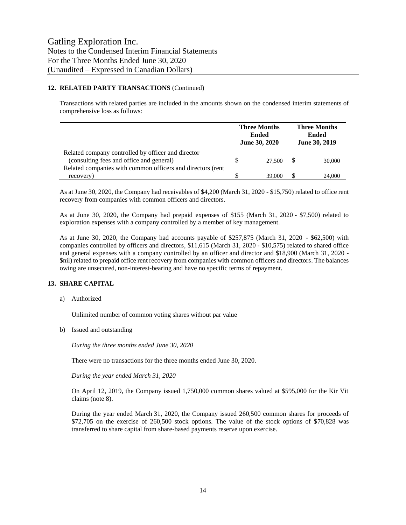#### **12. RELATED PARTY TRANSACTIONS** (Continued)

Transactions with related parties are included in the amounts shown on the condensed interim statements of comprehensive loss as follows:

|                                                                                                | <b>Three Months</b><br>Ended<br><b>June 30, 2020</b> |        | <b>Three Months</b><br>Ended<br>June 30, 2019 |        |
|------------------------------------------------------------------------------------------------|------------------------------------------------------|--------|-----------------------------------------------|--------|
| Related company controlled by officer and director<br>(consulting fees and office and general) |                                                      | 27.500 |                                               | 30,000 |
| Related companies with common officers and directors (rent<br>recovery)                        |                                                      | 39,000 |                                               | 24,000 |

As at June 30, 2020, the Company had receivables of \$4,200 (March 31, 2020 - \$15,750) related to office rent recovery from companies with common officers and directors.

As at June 30, 2020, the Company had prepaid expenses of \$155 (March 31, 2020 - \$7,500) related to exploration expenses with a company controlled by a member of key management.

As at June 30, 2020, the Company had accounts payable of \$257,875 (March 31, 2020 - \$62,500) with companies controlled by officers and directors, \$11,615 (March 31, 2020 - \$10,575) related to shared office and general expenses with a company controlled by an officer and director and \$18,900 (March 31, 2020 - \$nil) related to prepaid office rent recovery from companies with common officers and directors. The balances owing are unsecured, non-interest-bearing and have no specific terms of repayment.

#### **13. SHARE CAPITAL**

a) Authorized

Unlimited number of common voting shares without par value

b) Issued and outstanding

*During the three months ended June 30, 2020*

There were no transactions for the three months ended June 30, 2020.

*During the year ended March 31, 2020*

On April 12, 2019, the Company issued 1,750,000 common shares valued at \$595,000 for the Kir Vit claims (note 8).

During the year ended March 31, 2020, the Company issued 260,500 common shares for proceeds of \$72,705 on the exercise of 260,500 stock options. The value of the stock options of \$70,828 was transferred to share capital from share-based payments reserve upon exercise.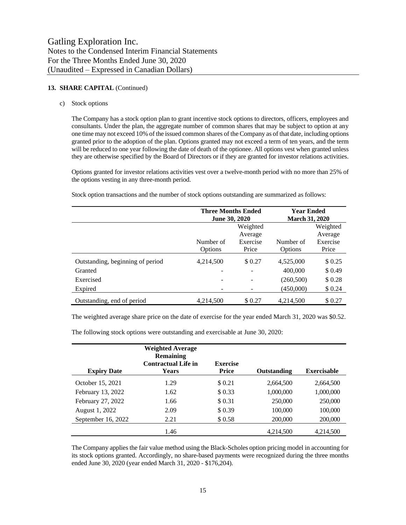#### **13. SHARE CAPITAL** (Continued)

c) Stock options

The Company has a stock option plan to grant incentive stock options to directors, officers, employees and consultants. Under the plan, the aggregate number of common shares that may be subject to option at any one time may not exceed 10% of the issued common shares of the Company as of that date, including options granted prior to the adoption of the plan. Options granted may not exceed a term of ten years, and the term will be reduced to one year following the date of death of the optionee. All options vest when granted unless they are otherwise specified by the Board of Directors or if they are granted for investor relations activities.

Options granted for investor relations activities vest over a twelve-month period with no more than 25% of the options vesting in any three-month period.

Stock option transactions and the number of stock options outstanding are summarized as follows:

|                                  | <b>Three Months Ended</b> |          | <b>Year Ended</b>     |          |  |
|----------------------------------|---------------------------|----------|-----------------------|----------|--|
|                                  | <b>June 30, 2020</b>      |          | <b>March 31, 2020</b> |          |  |
|                                  | Weighted                  |          |                       | Weighted |  |
|                                  |                           | Average  |                       | Average  |  |
|                                  | Number of                 | Exercise | Number of             | Exercise |  |
|                                  | Options                   | Price    | Options               | Price    |  |
| Outstanding, beginning of period | 4,214,500                 | \$0.27   | 4,525,000             | \$0.25   |  |
| Granted                          |                           |          | 400,000               | \$0.49   |  |
| Exercised                        | -                         |          | (260, 500)            | \$0.28   |  |
| Expired                          |                           |          | (450,000)             | \$0.24   |  |
| Outstanding, end of period       | 4,214,500                 | \$0.27   | 4,214,500             | \$0.27   |  |

The weighted average share price on the date of exercise for the year ended March 31, 2020 was \$0.52.

The following stock options were outstanding and exercisable at June 30, 2020:

| <b>Expiry Date</b> | <b>Weighted Average</b><br><b>Remaining</b><br><b>Contractual Life in</b><br><b>Years</b> | <b>Exercise</b><br>Price | <b>Outstanding</b> | <b>Exercisable</b> |
|--------------------|-------------------------------------------------------------------------------------------|--------------------------|--------------------|--------------------|
| October 15, 2021   | 1.29                                                                                      | \$0.21                   | 2,664,500          | 2,664,500          |
| February 13, 2022  | 1.62                                                                                      | \$0.33                   | 1,000,000          | 1,000,000          |
| February 27, 2022  | 1.66                                                                                      | \$0.31                   | 250,000            | 250,000            |
| August 1, 2022     | 2.09                                                                                      | \$0.39                   | 100,000            | 100,000            |
| September 16, 2022 | 2.21                                                                                      | \$0.58                   | 200,000            | 200,000            |
|                    | 1.46                                                                                      |                          | 4.214.500          | 4,214,500          |

The Company applies the fair value method using the Black-Scholes option pricing model in accounting for its stock options granted. Accordingly, no share-based payments were recognized during the three months ended June 30, 2020 (year ended March 31, 2020 - \$176,204).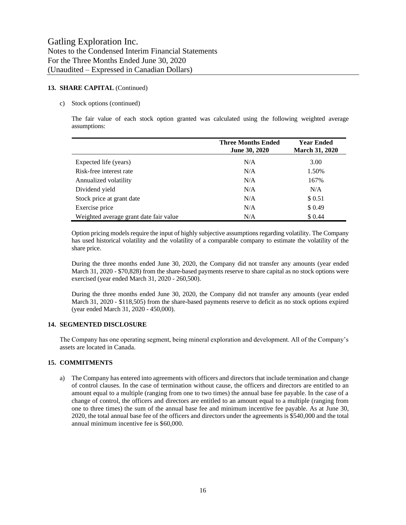#### **13. SHARE CAPITAL** (Continued)

#### c) Stock options (continued)

The fair value of each stock option granted was calculated using the following weighted average assumptions:

|                                        | <b>Three Months Ended</b><br><b>June 30, 2020</b> | <b>Year Ended</b><br><b>March 31, 2020</b> |
|----------------------------------------|---------------------------------------------------|--------------------------------------------|
| Expected life (years)                  | N/A                                               | 3.00                                       |
| Risk-free interest rate                | N/A                                               | 1.50%                                      |
| Annualized volatility                  | N/A                                               | 167%                                       |
| Dividend yield                         | N/A                                               | N/A                                        |
| Stock price at grant date              | N/A                                               | \$ 0.51                                    |
| Exercise price                         | N/A                                               | \$0.49                                     |
| Weighted average grant date fair value | N/A                                               | \$0.44                                     |

Option pricing models require the input of highly subjective assumptions regarding volatility. The Company has used historical volatility and the volatility of a comparable company to estimate the volatility of the share price.

During the three months ended June 30, 2020, the Company did not transfer any amounts (year ended March 31, 2020 - \$70,828) from the share-based payments reserve to share capital as no stock options were exercised (year ended March 31, 2020 - 260,500).

During the three months ended June 30, 2020, the Company did not transfer any amounts (year ended March 31, 2020 - \$118,505) from the share-based payments reserve to deficit as no stock options expired (year ended March 31, 2020 - 450,000).

#### **14. SEGMENTED DISCLOSURE**

The Company has one operating segment, being mineral exploration and development. All of the Company's assets are located in Canada.

#### **15. COMMITMENTS**

a) The Company has entered into agreements with officers and directors that include termination and change of control clauses. In the case of termination without cause, the officers and directors are entitled to an amount equal to a multiple (ranging from one to two times) the annual base fee payable. In the case of a change of control, the officers and directors are entitled to an amount equal to a multiple (ranging from one to three times) the sum of the annual base fee and minimum incentive fee payable. As at June 30, 2020, the total annual base fee of the officers and directors under the agreements is \$540,000 and the total annual minimum incentive fee is \$60,000.